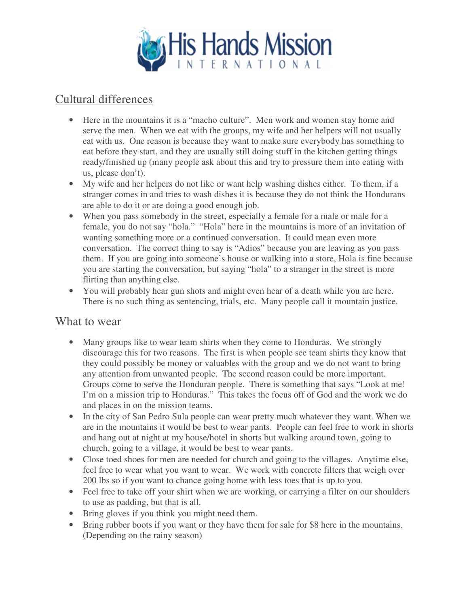

## Cultural differences

- Here in the mountains it is a "macho culture". Men work and women stay home and serve the men. When we eat with the groups, my wife and her helpers will not usually eat with us. One reason is because they want to make sure everybody has something to eat before they start, and they are usually still doing stuff in the kitchen getting things ready/finished up (many people ask about this and try to pressure them into eating with us, please don't).
- My wife and her helpers do not like or want help washing dishes either. To them, if a stranger comes in and tries to wash dishes it is because they do not think the Hondurans are able to do it or are doing a good enough job.
- When you pass somebody in the street, especially a female for a male or male for a female, you do not say "hola." "Hola" here in the mountains is more of an invitation of wanting something more or a continued conversation. It could mean even more conversation. The correct thing to say is "Adios" because you are leaving as you pass them. If you are going into someone's house or walking into a store, Hola is fine because you are starting the conversation, but saying "hola" to a stranger in the street is more flirting than anything else.
- You will probably hear gun shots and might even hear of a death while you are here. There is no such thing as sentencing, trials, etc. Many people call it mountain justice.

#### What to wear

- Many groups like to wear team shirts when they come to Honduras. We strongly discourage this for two reasons. The first is when people see team shirts they know that they could possibly be money or valuables with the group and we do not want to bring any attention from unwanted people. The second reason could be more important. Groups come to serve the Honduran people. There is something that says "Look at me! I'm on a mission trip to Honduras." This takes the focus off of God and the work we do and places in on the mission teams.
- In the city of San Pedro Sula people can wear pretty much whatever they want. When we are in the mountains it would be best to wear pants. People can feel free to work in shorts and hang out at night at my house/hotel in shorts but walking around town, going to church, going to a village, it would be best to wear pants.
- Close toed shoes for men are needed for church and going to the villages. Anytime else, feel free to wear what you want to wear. We work with concrete filters that weigh over 200 lbs so if you want to chance going home with less toes that is up to you.
- Feel free to take off your shirt when we are working, or carrying a filter on our shoulders to use as padding, but that is all.
- Bring gloves if you think you might need them.
- Bring rubber boots if you want or they have them for sale for \$8 here in the mountains. (Depending on the rainy season)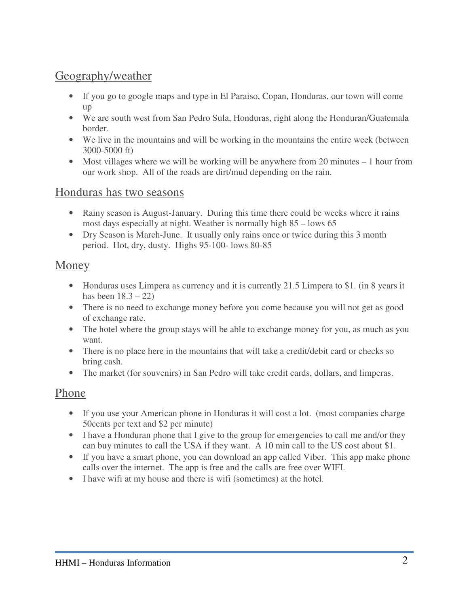# Geography/weather

- If you go to google maps and type in El Paraiso, Copan, Honduras, our town will come up
- We are south west from San Pedro Sula, Honduras, right along the Honduran/Guatemala border.
- We live in the mountains and will be working in the mountains the entire week (between 3000-5000 ft)
- Most villages where we will be working will be anywhere from 20 minutes 1 hour from our work shop. All of the roads are dirt/mud depending on the rain.

#### Honduras has two seasons

- Rainy season is August-January. During this time there could be weeks where it rains most days especially at night. Weather is normally high 85 – lows 65
- Dry Season is March-June. It usually only rains once or twice during this 3 month period. Hot, dry, dusty. Highs 95-100- lows 80-85

### Money

- Honduras uses Limpera as currency and it is currently 21.5 Limpera to \$1. (in 8 years it has been  $18.3 - 22$ )
- There is no need to exchange money before you come because you will not get as good of exchange rate.
- The hotel where the group stays will be able to exchange money for you, as much as you want.
- There is no place here in the mountains that will take a credit/debit card or checks so bring cash.
- The market (for souvenirs) in San Pedro will take credit cards, dollars, and limperas.

### Phone

- If you use your American phone in Honduras it will cost a lot. (most companies charge 50cents per text and \$2 per minute)
- I have a Honduran phone that I give to the group for emergencies to call me and/or they can buy minutes to call the USA if they want. A 10 min call to the US cost about \$1.
- If you have a smart phone, you can download an app called Viber. This app make phone calls over the internet. The app is free and the calls are free over WIFI.
- I have wifi at my house and there is wifi (sometimes) at the hotel.